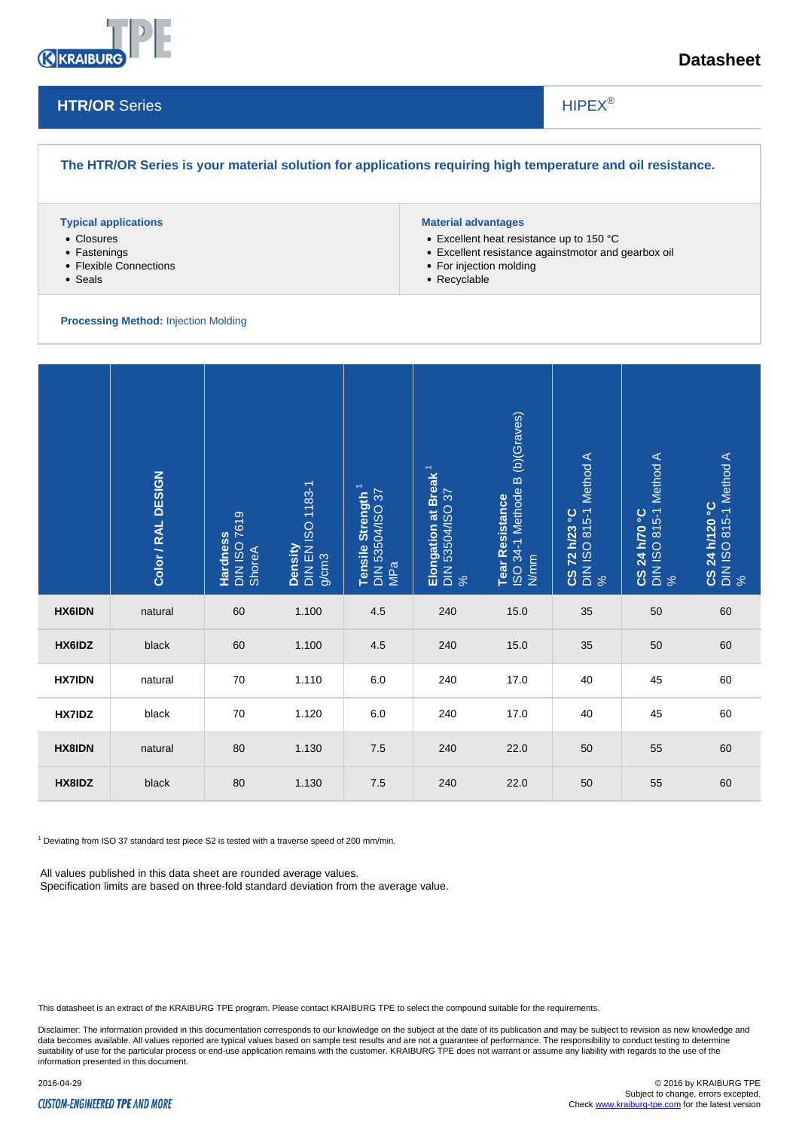

# **Datasheet**

### **HTR/OR** Series

# HIPEX®

# **The HTR/OR Series is your material solution for applications requiring high temperature and oil resistance.**

#### **Typical applications**

- Closures
- Fastenings
- Flexible Connections
- Seals

#### **Material advantages**

- Excellent heat resistance up to 150 °C
- Excellent resistance againstmotor and gearbox oil

 $\overline{\phantom{a}}$ 

- For injection molding
- Recyclable

#### **Processing Method:** Injection Molding

|                                                                                                                                                                                                                                                                            | Color / RAL DESIGN | DIN ISO 7619<br>ShoreA<br>Hardness | Density<br>DIN EN ISO 1183-1<br>g/cm3 | DIN 53504/ISO 37<br>MPa<br>Tensile Strength | Elongation at Break <sup>1</sup><br>DIN 53504/ISO 37<br>% | Tear Resistance<br>ISO 34-1 Methode B (b)(Graves)<br>N/mm | <b>CS 72 h/23 °C</b><br>DIN ISO 815-1 Method A<br>% | CS 24 h/70 °C<br>DIN ISO 815-1 Method A<br>% | CS 24 h/1 20 °C<br>DIN ISO 815-1 Method A |
|----------------------------------------------------------------------------------------------------------------------------------------------------------------------------------------------------------------------------------------------------------------------------|--------------------|------------------------------------|---------------------------------------|---------------------------------------------|-----------------------------------------------------------|-----------------------------------------------------------|-----------------------------------------------------|----------------------------------------------|-------------------------------------------|
| <b>HX6IDN</b>                                                                                                                                                                                                                                                              | natural            | 60                                 | 1.100                                 | 4.5                                         | 240                                                       | 15.0                                                      | 35                                                  | 50                                           | 60                                        |
| HX6IDZ                                                                                                                                                                                                                                                                     | black              | 60                                 | 1.100                                 | 4.5                                         | 240                                                       | 15.0                                                      | 35                                                  | 50                                           | 60                                        |
| <b>HX7IDN</b>                                                                                                                                                                                                                                                              | natural            | 70                                 | 1.110                                 | 6.0                                         | 240                                                       | 17.0                                                      | 40                                                  | 45                                           | 60                                        |
| HX7IDZ                                                                                                                                                                                                                                                                     | black              | 70                                 | 1.120                                 | $6.0\,$                                     | 240                                                       | 17.0                                                      | 40                                                  | 45                                           | 60                                        |
| <b>HX8IDN</b>                                                                                                                                                                                                                                                              | natural            | 80                                 | 1.130                                 | 7.5                                         | 240                                                       | 22.0                                                      | 50                                                  | 55                                           | 60                                        |
| HX8IDZ                                                                                                                                                                                                                                                                     | black              | 80                                 | 1.130                                 | 7.5                                         | 240                                                       | 22.0                                                      | 50                                                  | 55                                           | 60                                        |
| <sup>1</sup> Deviating from ISO 37 standard test piece S2 is tested with a traverse speed of 200 mm/min.<br>All values published in this data sheet are rounded average values.<br>Specification limits are based on three-fold standard deviation from the average value. |                    |                                    |                                       |                                             |                                                           |                                                           |                                                     |                                              |                                           |

This datasheet is an extract of the KRAIBURG TPE program. Please contact KRAIBURG TPE to select the compound suitable for the requirements.

Disclaimer: The information provided in this documentation corresponds to our knowledge on the subject at the date of its publication and may be subject to revision as new knowledge and data becomes available. All values reported are typical values based on sample test results and are not a guarantee of performance. The responsibility to conduct testing to determine<br>suitability of use for the particular p information presented in this document.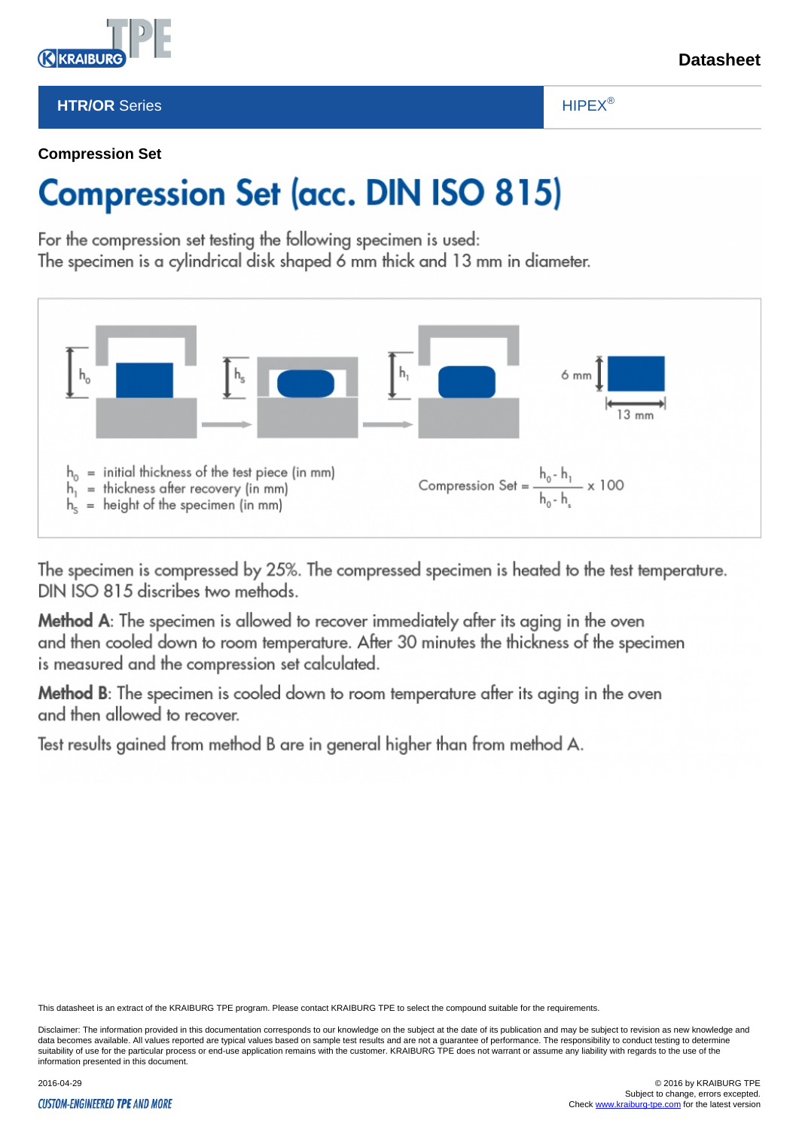# **HTR/OR** Series

# HIPEX®

 $\overline{\phantom{a}}$ 

# **Compression Set**

*<u>AKRAIBL</u>* 

# **Compression Set (acc. DIN ISO 815)**

For the compression set testing the following specimen is used: The specimen is a cylindrical disk shaped 6 mm thick and 13 mm in diameter.



The specimen is compressed by 25%. The compressed specimen is heated to the test temperature. DIN ISO 815 discribes two methods.

Method A: The specimen is allowed to recover immediately after its aging in the oven and then cooled down to room temperature. After 30 minutes the thickness of the specimen is measured and the compression set calculated.

Method B: The specimen is cooled down to room temperature after its aging in the oven and then allowed to recover.

Test results gained from method B are in general higher than from method A.

This datasheet is an extract of the KRAIBURG TPE program. Please contact KRAIBURG TPE to select the compound suitable for the requirements.

Disclaimer: The information provided in this documentation corresponds to our knowledge on the subject at the date of its publication and may be subject to revision as new knowledge and data becomes available. All values reported are typical values based on sample test results and are not a guarantee of performance. The responsibility to conduct testing to determine suitability of use for the particular process or end-use application remains with the customer. KRAIBURG TPE does not warrant or assume any liability with regards to the use of the information presented in this document.